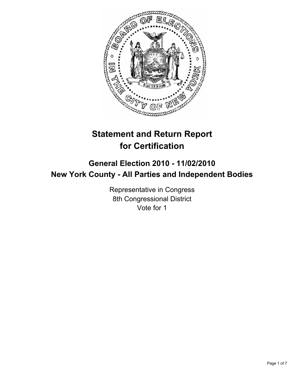

# **Statement and Return Report for Certification**

## **General Election 2010 - 11/02/2010 New York County - All Parties and Independent Bodies**

Representative in Congress 8th Congressional District Vote for 1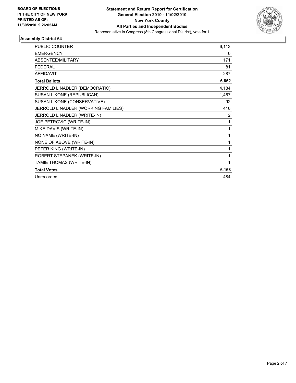

| <b>PUBLIC COUNTER</b>               | 6,113 |
|-------------------------------------|-------|
| <b>EMERGENCY</b>                    | 0     |
| <b>ABSENTEE/MILITARY</b>            | 171   |
| <b>FEDERAL</b>                      | 81    |
| <b>AFFIDAVIT</b>                    | 287   |
| <b>Total Ballots</b>                | 6,652 |
| JERROLD L NADLER (DEMOCRATIC)       | 4,184 |
| SUSAN L KONE (REPUBLICAN)           | 1,467 |
| SUSAN L KONE (CONSERVATIVE)         | 92    |
| JERROLD L NADLER (WORKING FAMILIES) | 416   |
| JERROLD L NADLER (WRITE-IN)         | 2     |
| JOE PETROVIC (WRITE-IN)             | 1     |
| MIKE DAVIS (WRITE-IN)               | 1     |
| NO NAME (WRITE-IN)                  | 1     |
| NONE OF ABOVE (WRITE-IN)            | 1     |
| PETER KING (WRITE-IN)               | 1     |
| ROBERT STEPANEK (WRITE-IN)          | 1     |
| TAMIE THOMAS (WRITE-IN)             | 1     |
| <b>Total Votes</b>                  | 6,168 |
| Unrecorded                          | 484   |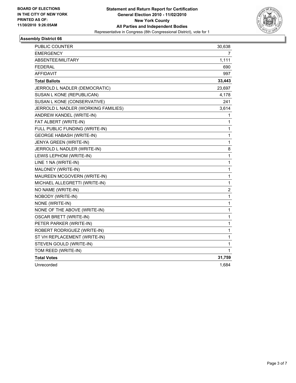

| PUBLIC COUNTER                      | 30,638         |
|-------------------------------------|----------------|
| <b>EMERGENCY</b>                    | $\overline{7}$ |
| ABSENTEE/MILITARY                   | 1,111          |
| <b>FEDERAL</b>                      | 690            |
| <b>AFFIDAVIT</b>                    | 997            |
| <b>Total Ballots</b>                | 33,443         |
| JERROLD L NADLER (DEMOCRATIC)       | 23,697         |
| SUSAN L KONE (REPUBLICAN)           | 4,178          |
| SUSAN L KONE (CONSERVATIVE)         | 241            |
| JERROLD L NADLER (WORKING FAMILIES) | 3,614          |
| ANDREW KANDEL (WRITE-IN)            | 1              |
| FAT ALBERT (WRITE-IN)               | 1              |
| FULL PUBLIC FUNDING (WRITE-IN)      | 1              |
| <b>GEORGE HABASH (WRITE-IN)</b>     | 1              |
| JENYA GREEN (WRITE-IN)              | 1              |
| JERROLD L NADLER (WRITE-IN)         | 8              |
| LEWIS LEPHOM (WRITE-IN)             | $\mathbf{1}$   |
| LINE 1 NA (WRITE-IN)                | 1              |
| MALONEY (WRITE-IN)                  | 1              |
| MAUREEN MCGOVERN (WRITE-IN)         | 1              |
| MICHAEL ALLEGRETTI (WRITE-IN)       | 1              |
| NO NAME (WRITE-IN)                  | 2              |
| NOBODY (WRITE-IN)                   | $\mathbf{1}$   |
| NONE (WRITE-IN)                     | 1              |
| NONE OF THE ABOVE (WRITE-IN)        | 1              |
| <b>OSCAR BRETT (WRITE-IN)</b>       | 1              |
| PETER PARKER (WRITE-IN)             | 1              |
| ROBERT RODRIGUEZ (WRITE-IN)         | 1              |
| ST VH REPLACEMENT (WRITE-IN)        | 1              |
| STEVEN GOULD (WRITE-IN)             | 1              |
| TOM REED (WRITE-IN)                 | 1              |
| <b>Total Votes</b>                  | 31,759         |
| Unrecorded                          | 1,684          |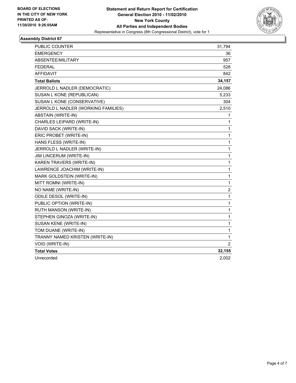

| PUBLIC COUNTER                      | 31,794                  |
|-------------------------------------|-------------------------|
| <b>EMERGENCY</b>                    | 36                      |
| ABSENTEE/MILITARY                   | 957                     |
| <b>FEDERAL</b>                      | 528                     |
| <b>AFFIDAVIT</b>                    | 842                     |
| <b>Total Ballots</b>                | 34,157                  |
| JERROLD L NADLER (DEMOCRATIC)       | 24,086                  |
| SUSAN L KONE (REPUBLICAN)           | 5,233                   |
| SUSAN L KONE (CONSERVATIVE)         | 304                     |
| JERROLD L NADLER (WORKING FAMILIES) | 2,510                   |
| ABSTAIN (WRITE-IN)                  | 1                       |
| CHARLES LEIPARD (WRITE-IN)          | 1                       |
| DAVID SACK (WRITE-IN)               | $\mathbf{1}$            |
| ERIC PROBET (WRITE-IN)              | $\mathbf 1$             |
| HANS FLESS (WRITE-IN)               | 1                       |
| JERROLD L NADLER (WRITE-IN)         | $\mathbf 1$             |
| JIM LINCERUM (WRITE-IN)             | $\mathbf 1$             |
| KAREN TRAVERS (WRITE-IN)            | 1                       |
| LAWRENCE JOACHIM (WRITE-IN)         | 1                       |
| MARK GOLDSTEIN (WRITE-IN)           | $\mathbf 1$             |
| MITT ROMNI (WRITE-IN)               | $\mathbf{1}$            |
| NO NAME (WRITE-IN)                  | $\overline{\mathbf{c}}$ |
| <b>ODILE DESOL (WRITE-IN)</b>       | $\mathbf{1}$            |
| PUBLIC OPTION (WRITE-IN)            | $\mathbf 1$             |
| RUTH MANSON (WRITE-IN)              | 1                       |
| STEPHEN GINOZA (WRITE-IN)           | $\mathbf{1}$            |
| SUSAN KENE (WRITE-IN)               | $\mathbf 1$             |
| TOM DUANE (WRITE-IN)                | $\mathbf 1$             |
| TRANNY NAMED KRISTEN (WRITE-IN)     | 1                       |
| VOID (WRITE-IN)                     | $\overline{2}$          |
| <b>Total Votes</b>                  | 32,155                  |
| Unrecorded                          | 2,002                   |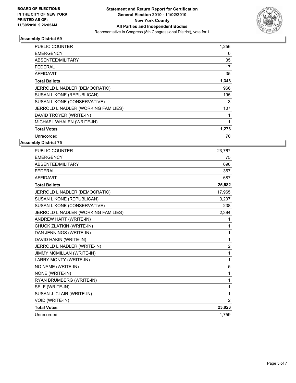

| <b>PUBLIC COUNTER</b>               | 1,256 |
|-------------------------------------|-------|
| <b>EMERGENCY</b>                    | 0     |
| ABSENTEE/MILITARY                   | 35    |
| FEDERAL                             | 17    |
| <b>AFFIDAVIT</b>                    | 35    |
| <b>Total Ballots</b>                | 1,343 |
| JERROLD L NADLER (DEMOCRATIC)       | 966   |
| SUSAN L KONE (REPUBLICAN)           | 195   |
| SUSAN L KONE (CONSERVATIVE)         | 3     |
| JERROLD L NADLER (WORKING FAMILIES) | 107   |
| DAVID TROYER (WRITE-IN)             |       |
| MICHAEL WHALEN (WRITE-IN)           | 1     |
| <b>Total Votes</b>                  | 1,273 |
| Unrecorded                          | 70    |

| <b>PUBLIC COUNTER</b>               | 23,767         |
|-------------------------------------|----------------|
| <b>EMERGENCY</b>                    | 75             |
| ABSENTEE/MILITARY                   | 696            |
| <b>FEDERAL</b>                      | 357            |
| <b>AFFIDAVIT</b>                    | 687            |
| <b>Total Ballots</b>                | 25,582         |
| JERROLD L NADLER (DEMOCRATIC)       | 17,965         |
| SUSAN L KONE (REPUBLICAN)           | 3,207          |
| SUSAN L KONE (CONSERVATIVE)         | 238            |
| JERROLD L NADLER (WORKING FAMILIES) | 2,394          |
| ANDREW HART (WRITE-IN)              | 1              |
| CHUCK ZLATKIN (WRITE-IN)            | 1              |
| DAN JENNINGS (WRITE-IN)             | 1              |
| DAVID HAKIN (WRITE-IN)              | 1              |
| JERROLD L NADLER (WRITE-IN)         | 2              |
| <b>JIMMY MCMILLAN (WRITE-IN)</b>    | 1              |
| LARRY MONTY (WRITE-IN)              | 1              |
| NO NAME (WRITE-IN)                  | 5              |
| NONE (WRITE-IN)                     | 1              |
| RYAN BRUMBERG (WRITE-IN)            | 1              |
| SELF (WRITE-IN)                     | 1              |
| SUSAN J. CLAIR (WRITE-IN)           | 1              |
| VOID (WRITE-IN)                     | $\overline{2}$ |
| <b>Total Votes</b>                  | 23,823         |
| Unrecorded                          | 1,759          |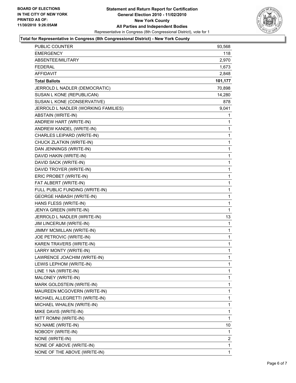

### **Total for Representative in Congress (8th Congressional District) - New York County**

| PUBLIC COUNTER                      | 93,568  |
|-------------------------------------|---------|
| <b>EMERGENCY</b>                    | 118     |
| ABSENTEE/MILITARY                   | 2,970   |
| <b>FEDERAL</b>                      | 1,673   |
| AFFIDAVIT                           | 2,848   |
| <b>Total Ballots</b>                | 101,177 |
| JERROLD L NADLER (DEMOCRATIC)       | 70,898  |
| SUSAN L KONE (REPUBLICAN)           | 14,280  |
| SUSAN L KONE (CONSERVATIVE)         | 878     |
| JERROLD L NADLER (WORKING FAMILIES) | 9,041   |
| ABSTAIN (WRITE-IN)                  | 1       |
| ANDREW HART (WRITE-IN)              | 1       |
| ANDREW KANDEL (WRITE-IN)            | 1       |
| CHARLES LEIPARD (WRITE-IN)          | 1       |
| CHUCK ZLATKIN (WRITE-IN)            | 1       |
| DAN JENNINGS (WRITE-IN)             | 1       |
| DAVID HAKIN (WRITE-IN)              | 1       |
| DAVID SACK (WRITE-IN)               | 1       |
| DAVID TROYER (WRITE-IN)             | 1       |
| ERIC PROBET (WRITE-IN)              | 1       |
| FAT ALBERT (WRITE-IN)               | 1       |
| FULL PUBLIC FUNDING (WRITE-IN)      | 1       |
| <b>GEORGE HABASH (WRITE-IN)</b>     | 1       |
| HANS FLESS (WRITE-IN)               | 1       |
| JENYA GREEN (WRITE-IN)              | 1       |
| JERROLD L NADLER (WRITE-IN)         | 13      |
| JIM LINCERUM (WRITE-IN)             | 1       |
| JIMMY MCMILLAN (WRITE-IN)           | 1       |
| JOE PETROVIC (WRITE-IN)             | 1       |
| KAREN TRAVERS (WRITE-IN)            | 1       |
| LARRY MONTY (WRITE-IN)              | 1       |
| LAWRENCE JOACHIM (WRITE-IN)         | 1       |
| LEWIS LEPHOM (WRITE-IN)             | 1       |
| LINE 1 NA (WRITE-IN)                | 1       |
| MALONEY (WRITE-IN)                  | 1       |
| MARK GOLDSTEIN (WRITE-IN)           | 1       |
| MAUREEN MCGOVERN (WRITE-IN)         | 1       |
| MICHAEL ALLEGRETTI (WRITE-IN)       | 1       |
| MICHAEL WHALEN (WRITE-IN)           | 1       |
| MIKE DAVIS (WRITE-IN)               | 1       |
| MITT ROMNI (WRITE-IN)               | 1       |
| NO NAME (WRITE-IN)                  | 10      |
| NOBODY (WRITE-IN)                   | 1       |
| NONE (WRITE-IN)                     | 2       |
| NONE OF ABOVE (WRITE-IN)            | 1       |
| NONE OF THE ABOVE (WRITE-IN)        | 1       |